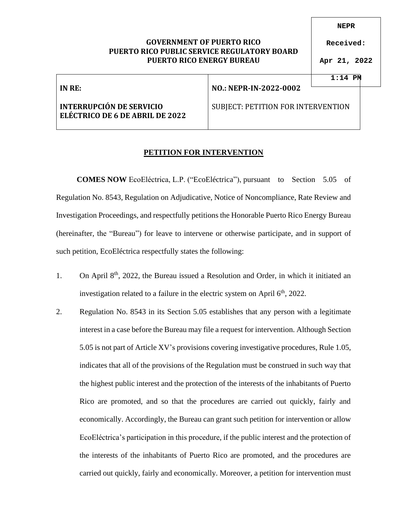## **GOVERNMENT OF PUERTO RICO PUERTO RICO PUBLIC SERVICE REGULATORY BOARD PUERTO RICO ENERGY BUREAU**

**NEPR**

**Received:**

**Apr 21, 2022**

**1:14 PM**

|                                                                    |                                    | 1:14 PM |  |
|--------------------------------------------------------------------|------------------------------------|---------|--|
| IN RE:                                                             | NO.: NEPR-IN-2022-0002             |         |  |
| <b>INTERRUPCIÓN DE SERVICIO</b><br>ELÉCTRICO DE 6 DE ABRIL DE 2022 | SUBJECT: PETITION FOR INTERVENTION |         |  |

## **PETITION FOR INTERVENTION**

**COMES NOW** EcoEléctrica, L.P. ("EcoEléctrica"), pursuant to Section 5.05 of Regulation No. 8543, Regulation on Adjudicative, Notice of Noncompliance, Rate Review and Investigation Proceedings, and respectfully petitions the Honorable Puerto Rico Energy Bureau (hereinafter, the "Bureau") for leave to intervene or otherwise participate, and in support of such petition, EcoEléctrica respectfully states the following:

- 1. On April  $8<sup>th</sup>$ , 2022, the Bureau issued a Resolution and Order, in which it initiated an investigation related to a failure in the electric system on April  $6<sup>th</sup>$ , 2022.
- 2. Regulation No. 8543 in its Section 5.05 establishes that any person with a legitimate interest in a case before the Bureau may file a request for intervention. Although Section 5.05 is not part of Article XV's provisions covering investigative procedures, Rule 1.05, indicates that all of the provisions of the Regulation must be construed in such way that the highest public interest and the protection of the interests of the inhabitants of Puerto Rico are promoted, and so that the procedures are carried out quickly, fairly and economically. Accordingly, the Bureau can grant such petition for intervention or allow EcoEléctrica's participation in this procedure, if the public interest and the protection of the interests of the inhabitants of Puerto Rico are promoted, and the procedures are carried out quickly, fairly and economically. Moreover, a petition for intervention must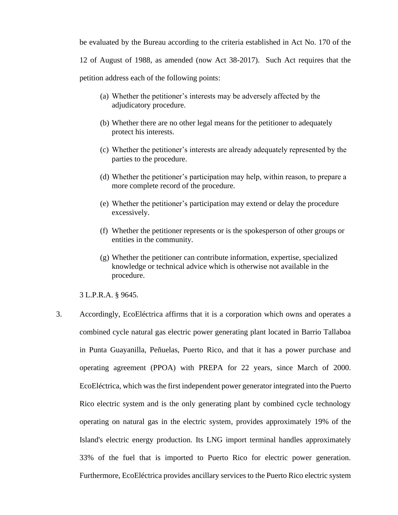be evaluated by the Bureau according to the criteria established in Act No. 170 of the 12 of August of 1988, as amended (now Act 38-2017). Such Act requires that the petition address each of the following points:

- (a) Whether the petitioner's interests may be adversely affected by the adjudicatory procedure.
- (b) Whether there are no other legal means for the petitioner to adequately protect his interests.
- (c) Whether the petitioner's interests are already adequately represented by the parties to the procedure.
- (d) Whether the petitioner's participation may help, within reason, to prepare a more complete record of the procedure.
- (e) Whether the petitioner's participation may extend or delay the procedure excessively.
- (f) Whether the petitioner represents or is the spokesperson of other groups or entities in the community.
- (g) Whether the petitioner can contribute information, expertise, specialized knowledge or technical advice which is otherwise not available in the procedure.

3 L.P.R.A. § 9645.

3. Accordingly, EcoEléctrica affirms that it is a corporation which owns and operates a combined cycle natural gas electric power generating plant located in Barrio Tallaboa in Punta Guayanilla, Peñuelas, Puerto Rico, and that it has a power purchase and operating agreement (PPOA) with PREPA for 22 years, since March of 2000. EcoEléctrica, which was the first independent power generator integrated into the Puerto Rico electric system and is the only generating plant by combined cycle technology operating on natural gas in the electric system, provides approximately 19% of the Island's electric energy production. Its LNG import terminal handles approximately 33% of the fuel that is imported to Puerto Rico for electric power generation. Furthermore, EcoEléctrica provides ancillary services to the Puerto Rico electric system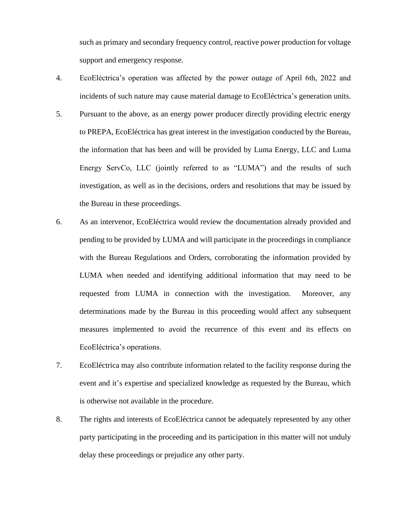such as primary and secondary frequency control, reactive power production for voltage support and emergency response.

- 4. EcoEléctrica's operation was affected by the power outage of April 6th, 2022 and incidents of such nature may cause material damage to EcoEléctrica's generation units.
- 5. Pursuant to the above, as an energy power producer directly providing electric energy to PREPA, EcoEléctrica has great interest in the investigation conducted by the Bureau, the information that has been and will be provided by Luma Energy, LLC and Luma Energy ServCo, LLC (jointly referred to as "LUMA") and the results of such investigation, as well as in the decisions, orders and resolutions that may be issued by the Bureau in these proceedings.
- 6. As an intervenor, EcoEléctrica would review the documentation already provided and pending to be provided by LUMA and will participate in the proceedings in compliance with the Bureau Regulations and Orders, corroborating the information provided by LUMA when needed and identifying additional information that may need to be requested from LUMA in connection with the investigation. Moreover, any determinations made by the Bureau in this proceeding would affect any subsequent measures implemented to avoid the recurrence of this event and its effects on EcoEléctrica's operations.
- 7. EcoEléctrica may also contribute information related to the facility response during the event and it's expertise and specialized knowledge as requested by the Bureau, which is otherwise not available in the procedure.
- 8. The rights and interests of EcoEléctrica cannot be adequately represented by any other party participating in the proceeding and its participation in this matter will not unduly delay these proceedings or prejudice any other party.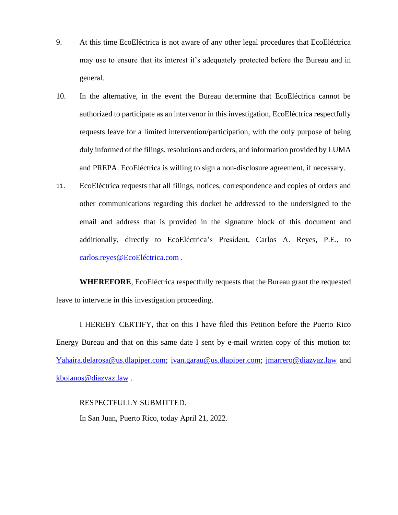- 9. At this time EcoEléctrica is not aware of any other legal procedures that EcoEléctrica may use to ensure that its interest it's adequately protected before the Bureau and in general.
- 10. In the alternative, in the event the Bureau determine that EcoEléctrica cannot be authorized to participate as an intervenor in this investigation, EcoEléctrica respectfully requests leave for a limited intervention/participation, with the only purpose of being duly informed of the filings, resolutions and orders, and information provided by LUMA and PREPA. EcoEléctrica is willing to sign a non-disclosure agreement, if necessary.
- 11. EcoEléctrica requests that all filings, notices, correspondence and copies of orders and other communications regarding this docket be addressed to the undersigned to the email and address that is provided in the signature block of this document and additionally, directly to EcoEléctrica's President, Carlos A. Reyes, P.E., to [carlos.reyes@EcoEléctrica.com](mailto:carlos.reyes@EcoEléctrica.com) .

**WHEREFORE**, EcoEléctrica respectfully requests that the Bureau grant the requested leave to intervene in this investigation proceeding.

I HEREBY CERTIFY, that on this I have filed this Petition before the Puerto Rico Energy Bureau and that on this same date I sent by e-mail written copy of this motion to: [Yahaira.delarosa@us.dlapiper.com;](mailto:Yahaira.delarosa@us.dlapiper.com) [ivan.garau@us.dlapiper.com;](mailto:ivan.garau@us.dlapiper.com) [jmarrero@diazvaz.law](mailto:jmarrero@diazvaz.law) and [kbolanos@diazvaz.law](mailto:kbolanos@diazvaz.law) .

RESPECTFULLY SUBMITTED.

In San Juan, Puerto Rico, today April 21, 2022.